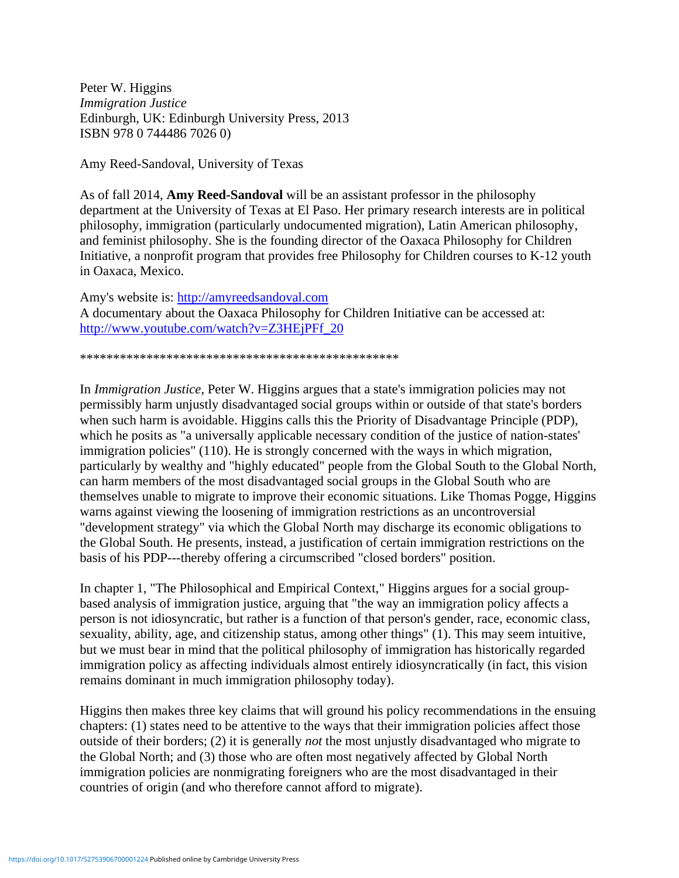Peter W. Higgins *Immigration Justice* Edinburgh, UK: Edinburgh University Press, 2013 ISBN 978 0 744486 7026 0)

Amy Reed-Sandoval, University of Texas

As of fall 2014, **Amy Reed-Sandoval** will be an assistant professor in the philosophy department at the University of Texas at El Paso. Her primary research interests are in political philosophy, immigration (particularly undocumented migration), Latin American philosophy, and feminist philosophy. She is the founding director of the Oaxaca Philosophy for Children Initiative, a nonprofit program that provides free Philosophy for Children courses to K-12 youth in Oaxaca, Mexico.

Amy's website is: [http://amyreedsandoval.com](http://amyreedsandoval.com/) A documentary about the Oaxaca Philosophy for Children Initiative can be accessed at: [http://www.youtube.com/watch?v=Z3HEjPFf\\_20](http://www.youtube.com/watch?v=Z3HEjPFf_20)

\*\*\*\*\*\*\*\*\*\*\*\*\*\*\*\*\*\*\*\*\*\*\*\*\*\*\*\*\*\*\*\*\*\*\*\*\*\*\*\*\*\*\*\*\*\*\*\*

In *Immigration Justice*, Peter W. Higgins argues that a state's immigration policies may not permissibly harm unjustly disadvantaged social groups within or outside of that state's borders when such harm is avoidable. Higgins calls this the Priority of Disadvantage Principle (PDP), which he posits as "a universally applicable necessary condition of the justice of nation-states' immigration policies" (110). He is strongly concerned with the ways in which migration, particularly by wealthy and "highly educated" people from the Global South to the Global North, can harm members of the most disadvantaged social groups in the Global South who are themselves unable to migrate to improve their economic situations. Like Thomas Pogge, Higgins warns against viewing the loosening of immigration restrictions as an uncontroversial "development strategy" via which the Global North may discharge its economic obligations to the Global South. He presents, instead, a justification of certain immigration restrictions on the basis of his PDP---thereby offering a circumscribed "closed borders" position.

In chapter 1, "The Philosophical and Empirical Context," Higgins argues for a social groupbased analysis of immigration justice, arguing that "the way an immigration policy affects a person is not idiosyncratic, but rather is a function of that person's gender, race, economic class, sexuality, ability, age, and citizenship status, among other things" (1). This may seem intuitive, but we must bear in mind that the political philosophy of immigration has historically regarded immigration policy as affecting individuals almost entirely idiosyncratically (in fact, this vision remains dominant in much immigration philosophy today).

Higgins then makes three key claims that will ground his policy recommendations in the ensuing chapters: (1) states need to be attentive to the ways that their immigration policies affect those outside of their borders; (2) it is generally *not* the most unjustly disadvantaged who migrate to the Global North; and (3) those who are often most negatively affected by Global North immigration policies are nonmigrating foreigners who are the most disadvantaged in their countries of origin (and who therefore cannot afford to migrate).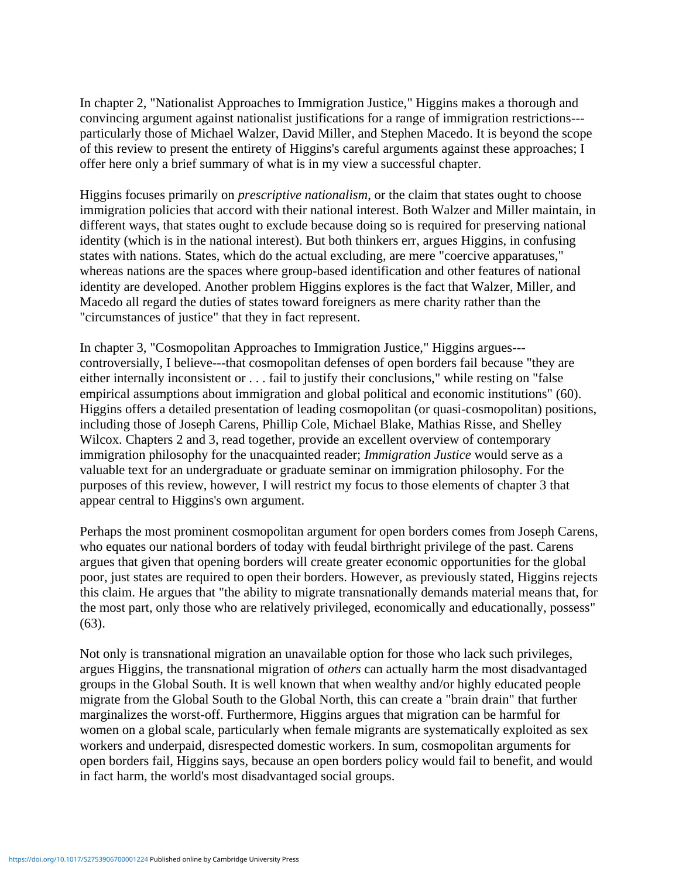In chapter 2, "Nationalist Approaches to Immigration Justice," Higgins makes a thorough and convincing argument against nationalist justifications for a range of immigration restrictions-- particularly those of Michael Walzer, David Miller, and Stephen Macedo. It is beyond the scope of this review to present the entirety of Higgins's careful arguments against these approaches; I offer here only a brief summary of what is in my view a successful chapter.

Higgins focuses primarily on *prescriptive nationalism*, or the claim that states ought to choose immigration policies that accord with their national interest. Both Walzer and Miller maintain, in different ways, that states ought to exclude because doing so is required for preserving national identity (which is in the national interest). But both thinkers err, argues Higgins, in confusing states with nations. States, which do the actual excluding, are mere "coercive apparatuses," whereas nations are the spaces where group-based identification and other features of national identity are developed. Another problem Higgins explores is the fact that Walzer, Miller, and Macedo all regard the duties of states toward foreigners as mere charity rather than the "circumstances of justice" that they in fact represent.

In chapter 3, "Cosmopolitan Approaches to Immigration Justice," Higgins argues-- controversially, I believe---that cosmopolitan defenses of open borders fail because "they are either internally inconsistent or . . . fail to justify their conclusions," while resting on "false empirical assumptions about immigration and global political and economic institutions" (60). Higgins offers a detailed presentation of leading cosmopolitan (or quasi-cosmopolitan) positions, including those of Joseph Carens, Phillip Cole, Michael Blake, Mathias Risse, and Shelley Wilcox. Chapters 2 and 3, read together, provide an excellent overview of contemporary immigration philosophy for the unacquainted reader; *Immigration Justice* would serve as a valuable text for an undergraduate or graduate seminar on immigration philosophy. For the purposes of this review, however, I will restrict my focus to those elements of chapter 3 that appear central to Higgins's own argument.

Perhaps the most prominent cosmopolitan argument for open borders comes from Joseph Carens, who equates our national borders of today with feudal birthright privilege of the past. Carens argues that given that opening borders will create greater economic opportunities for the global poor, just states are required to open their borders. However, as previously stated, Higgins rejects this claim. He argues that "the ability to migrate transnationally demands material means that, for the most part, only those who are relatively privileged, economically and educationally, possess" (63).

Not only is transnational migration an unavailable option for those who lack such privileges, argues Higgins, the transnational migration of *others* can actually harm the most disadvantaged groups in the Global South. It is well known that when wealthy and/or highly educated people migrate from the Global South to the Global North, this can create a "brain drain" that further marginalizes the worst-off. Furthermore, Higgins argues that migration can be harmful for women on a global scale, particularly when female migrants are systematically exploited as sex workers and underpaid, disrespected domestic workers. In sum, cosmopolitan arguments for open borders fail, Higgins says, because an open borders policy would fail to benefit, and would in fact harm, the world's most disadvantaged social groups.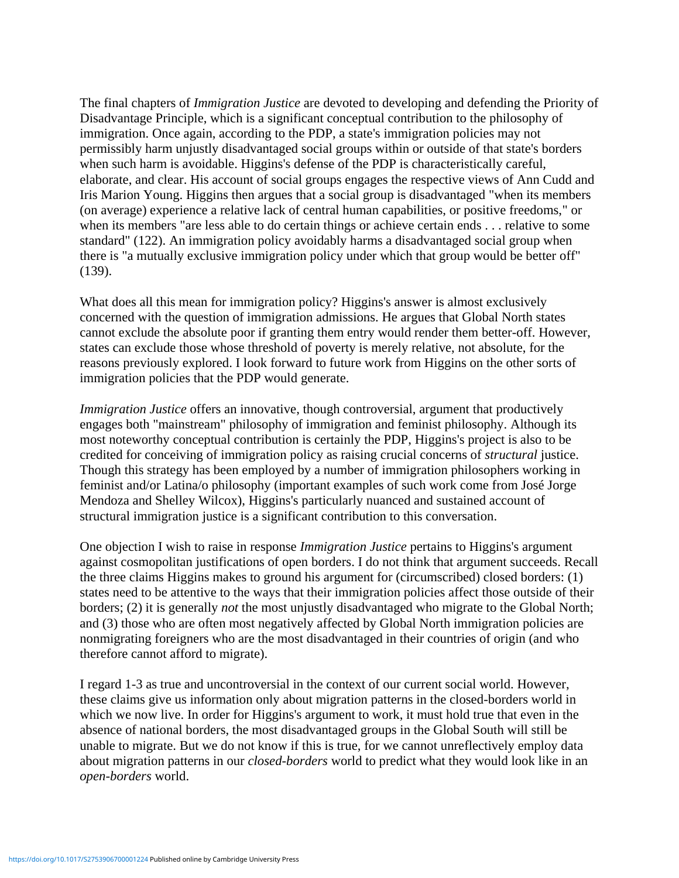The final chapters of *Immigration Justice* are devoted to developing and defending the Priority of Disadvantage Principle, which is a significant conceptual contribution to the philosophy of immigration. Once again, according to the PDP, a state's immigration policies may not permissibly harm unjustly disadvantaged social groups within or outside of that state's borders when such harm is avoidable. Higgins's defense of the PDP is characteristically careful, elaborate, and clear. His account of social groups engages the respective views of Ann Cudd and Iris Marion Young. Higgins then argues that a social group is disadvantaged "when its members (on average) experience a relative lack of central human capabilities, or positive freedoms," or when its members "are less able to do certain things or achieve certain ends . . . relative to some standard" (122). An immigration policy avoidably harms a disadvantaged social group when there is "a mutually exclusive immigration policy under which that group would be better off" (139).

What does all this mean for immigration policy? Higgins's answer is almost exclusively concerned with the question of immigration admissions. He argues that Global North states cannot exclude the absolute poor if granting them entry would render them better-off. However, states can exclude those whose threshold of poverty is merely relative, not absolute, for the reasons previously explored. I look forward to future work from Higgins on the other sorts of immigration policies that the PDP would generate.

*Immigration Justice* offers an innovative, though controversial, argument that productively engages both "mainstream" philosophy of immigration and feminist philosophy. Although its most noteworthy conceptual contribution is certainly the PDP, Higgins's project is also to be credited for conceiving of immigration policy as raising crucial concerns of *structural* justice. Though this strategy has been employed by a number of immigration philosophers working in feminist and/or Latina/o philosophy (important examples of such work come from José Jorge Mendoza and Shelley Wilcox), Higgins's particularly nuanced and sustained account of structural immigration justice is a significant contribution to this conversation.

One objection I wish to raise in response *Immigration Justice* pertains to Higgins's argument against cosmopolitan justifications of open borders. I do not think that argument succeeds. Recall the three claims Higgins makes to ground his argument for (circumscribed) closed borders: (1) states need to be attentive to the ways that their immigration policies affect those outside of their borders; (2) it is generally *not* the most unjustly disadvantaged who migrate to the Global North; and (3) those who are often most negatively affected by Global North immigration policies are nonmigrating foreigners who are the most disadvantaged in their countries of origin (and who therefore cannot afford to migrate).

I regard 1-3 as true and uncontroversial in the context of our current social world. However, these claims give us information only about migration patterns in the closed-borders world in which we now live. In order for Higgins's argument to work, it must hold true that even in the absence of national borders, the most disadvantaged groups in the Global South will still be unable to migrate. But we do not know if this is true, for we cannot unreflectively employ data about migration patterns in our *closed-borders* world to predict what they would look like in an *open-borders* world.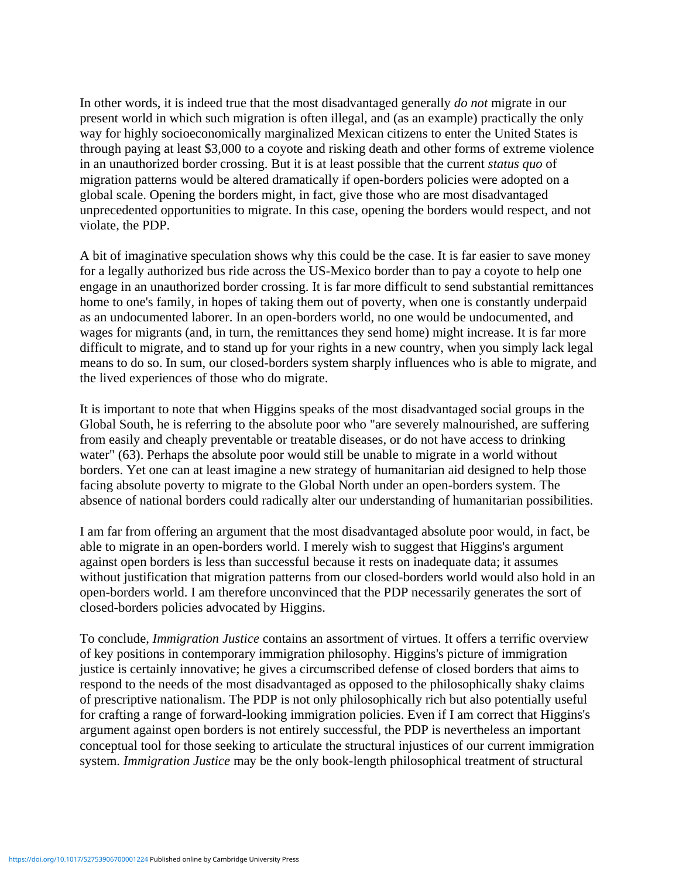In other words, it is indeed true that the most disadvantaged generally *do not* migrate in our present world in which such migration is often illegal, and (as an example) practically the only way for highly socioeconomically marginalized Mexican citizens to enter the United States is through paying at least \$3,000 to a coyote and risking death and other forms of extreme violence in an unauthorized border crossing. But it is at least possible that the current *status quo* of migration patterns would be altered dramatically if open-borders policies were adopted on a global scale. Opening the borders might, in fact, give those who are most disadvantaged unprecedented opportunities to migrate. In this case, opening the borders would respect, and not violate, the PDP.

A bit of imaginative speculation shows why this could be the case. It is far easier to save money for a legally authorized bus ride across the US-Mexico border than to pay a coyote to help one engage in an unauthorized border crossing. It is far more difficult to send substantial remittances home to one's family, in hopes of taking them out of poverty, when one is constantly underpaid as an undocumented laborer. In an open-borders world, no one would be undocumented, and wages for migrants (and, in turn, the remittances they send home) might increase. It is far more difficult to migrate, and to stand up for your rights in a new country, when you simply lack legal means to do so. In sum, our closed-borders system sharply influences who is able to migrate, and the lived experiences of those who do migrate.

It is important to note that when Higgins speaks of the most disadvantaged social groups in the Global South, he is referring to the absolute poor who "are severely malnourished, are suffering from easily and cheaply preventable or treatable diseases, or do not have access to drinking water" (63). Perhaps the absolute poor would still be unable to migrate in a world without borders. Yet one can at least imagine a new strategy of humanitarian aid designed to help those facing absolute poverty to migrate to the Global North under an open-borders system. The absence of national borders could radically alter our understanding of humanitarian possibilities.

I am far from offering an argument that the most disadvantaged absolute poor would, in fact, be able to migrate in an open-borders world. I merely wish to suggest that Higgins's argument against open borders is less than successful because it rests on inadequate data; it assumes without justification that migration patterns from our closed-borders world would also hold in an open-borders world. I am therefore unconvinced that the PDP necessarily generates the sort of closed-borders policies advocated by Higgins.

To conclude, *Immigration Justice* contains an assortment of virtues. It offers a terrific overview of key positions in contemporary immigration philosophy. Higgins's picture of immigration justice is certainly innovative; he gives a circumscribed defense of closed borders that aims to respond to the needs of the most disadvantaged as opposed to the philosophically shaky claims of prescriptive nationalism. The PDP is not only philosophically rich but also potentially useful for crafting a range of forward-looking immigration policies. Even if I am correct that Higgins's argument against open borders is not entirely successful, the PDP is nevertheless an important conceptual tool for those seeking to articulate the structural injustices of our current immigration system. *Immigration Justice* may be the only book-length philosophical treatment of structural